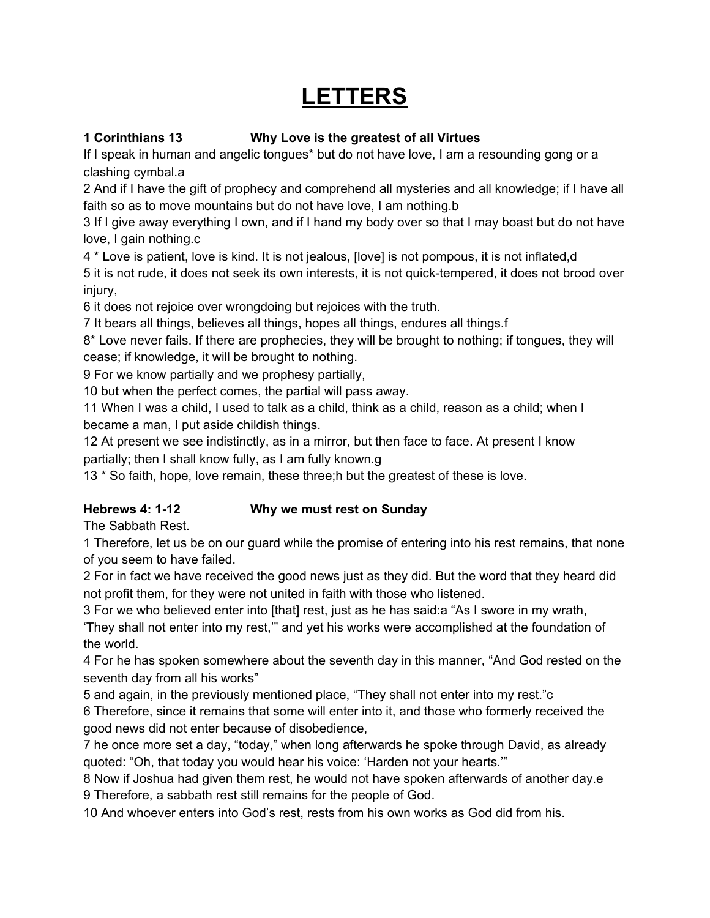# **LETTERS**

## **1 Corinthians 13 Why Love is the greatest of all Virtues**

If I speak in human and angelic tongues\* but do not have love, I am a resounding gong or a clashing cymbal.a

2 And if I have the gift of prophecy and comprehend all mysteries and all knowledge; if I have all faith so as to move mountains but do not have love, I am nothing.b

3 If I give away everything I own, and if I hand my body over so that I may boast but do not have love, I gain nothing.c

4 \* Love is patient, love is kind. It is not jealous, [love] is not pompous, it is not inflated,d

5 it is not rude, it does not seek its own interests, it is not quick-tempered, it does not brood over injury,

6 it does not rejoice over wrongdoing but rejoices with the truth.

7 It bears all things, believes all things, hopes all things, endures all things.f

8\* Love never fails. If there are prophecies, they will be brought to nothing; if tongues, they will cease; if knowledge, it will be brought to nothing.

9 For we know partially and we prophesy partially,

10 but when the perfect comes, the partial will pass away.

11 When I was a child, I used to talk as a child, think as a child, reason as a child; when I became a man, I put aside childish things.

12 At present we see indistinctly, as in a mirror, but then face to face. At present I know partially; then I shall know fully, as I am fully known.g

13 \* So faith, hope, love remain, these three;h but the greatest of these is love.

## **Hebrews 4: 1-12 Why we must rest on Sunday**

The Sabbath Rest.

1 Therefore, let us be on our guard while the promise of entering into his rest remains, that none of you seem to have failed.

2 For in fact we have received the good news just as they did. But the word that they heard did not profit them, for they were not united in faith with those who listened.

3 For we who believed enter into [that] rest, just as he has said:a "As I swore in my wrath, 'They shall not enter into my rest,'" and yet his works were accomplished at the foundation of the world.

4 For he has spoken somewhere about the seventh day in this manner, "And God rested on the seventh day from all his works"

5 and again, in the previously mentioned place, "They shall not enter into my rest."c

6 Therefore, since it remains that some will enter into it, and those who formerly received the good news did not enter because of disobedience,

7 he once more set a day, "today," when long afterwards he spoke through David, as already quoted: "Oh, that today you would hear his voice: 'Harden not your hearts.'"

8 Now if Joshua had given them rest, he would not have spoken afterwards of another day.e 9 Therefore, a sabbath rest still remains for the people of God.

10 And whoever enters into God's rest, rests from his own works as God did from his.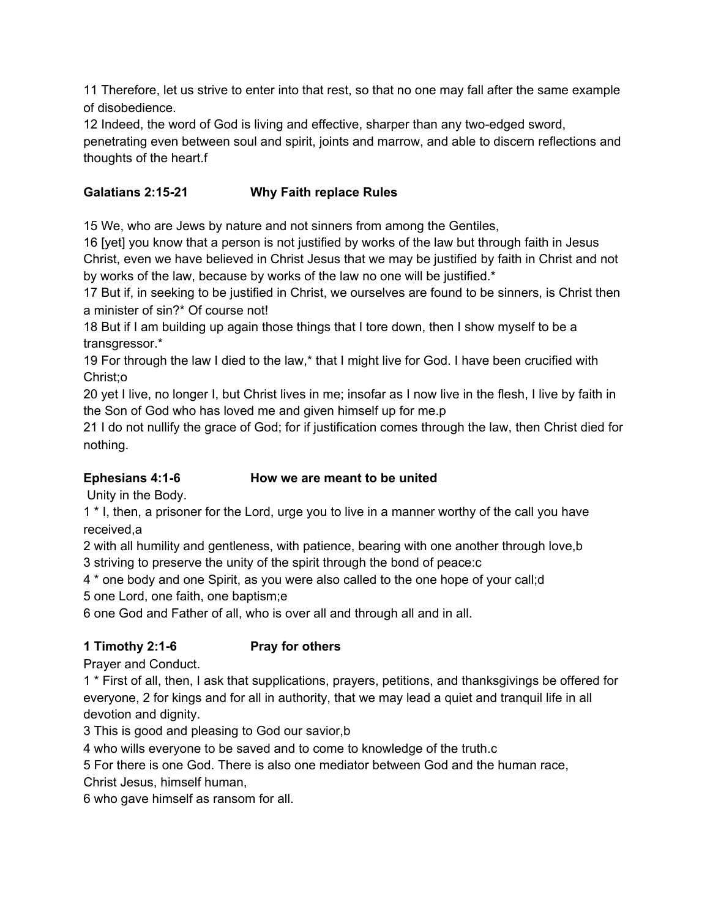11 Therefore, let us strive to enter into that rest, so that no one may fall after the same example of disobedience.

12 Indeed, the word of God is living and effective, sharper than any two-edged sword,

penetrating even between soul and spirit, joints and marrow, and able to discern reflections and thoughts of the heart.f

## **Galatians 2:15-21 Why Faith replace Rules**

15 We, who are Jews by nature and not sinners from among the Gentiles,

16 [yet] you know that a person is not justified by works of the law but through faith in Jesus Christ, even we have believed in Christ Jesus that we may be justified by faith in Christ and not by works of the law, because by works of the law no one will be justified.\*

17 But if, in seeking to be justified in Christ, we ourselves are found to be sinners, is Christ then a minister of sin?\* Of course not!

18 But if I am building up again those things that I tore down, then I show myself to be a transgressor.\*

19 For through the law I died to the law,\* that I might live for God. I have been crucified with Christ;o

20 yet I live, no longer I, but Christ lives in me; insofar as I now live in the flesh, I live by faith in the Son of God who has loved me and given himself up for me.p

21 I do not nullify the grace of God; for if justification comes through the law, then Christ died for nothing.

## **Ephesians 4:1-6 How we are meant to be united**

Unity in the Body.

1 \* I, then, a prisoner for the Lord, urge you to live in a manner worthy of the call you have received,a

2 with all humility and gentleness, with patience, bearing with one another through love,b 3 striving to preserve the unity of the spirit through the bond of peace:c

4 \* one body and one Spirit, as you were also called to the one hope of your call;d

5 one Lord, one faith, one baptism;e

6 one God and Father of all, who is over all and through all and in all.

## **1 Timothy 2:1-6 Pray for others**

Prayer and Conduct.

1 \* First of all, then, I ask that supplications, prayers, petitions, and thanksgivings be offered for everyone, 2 for kings and for all in authority, that we may lead a quiet and tranquil life in all devotion and dignity.

3 This is good and pleasing to God our savior,b

4 who wills everyone to be saved and to come to knowledge of the truth.c

5 For there is one God. There is also one mediator between God and the human race,

Christ Jesus, himself human,

6 who gave himself as ransom for all.